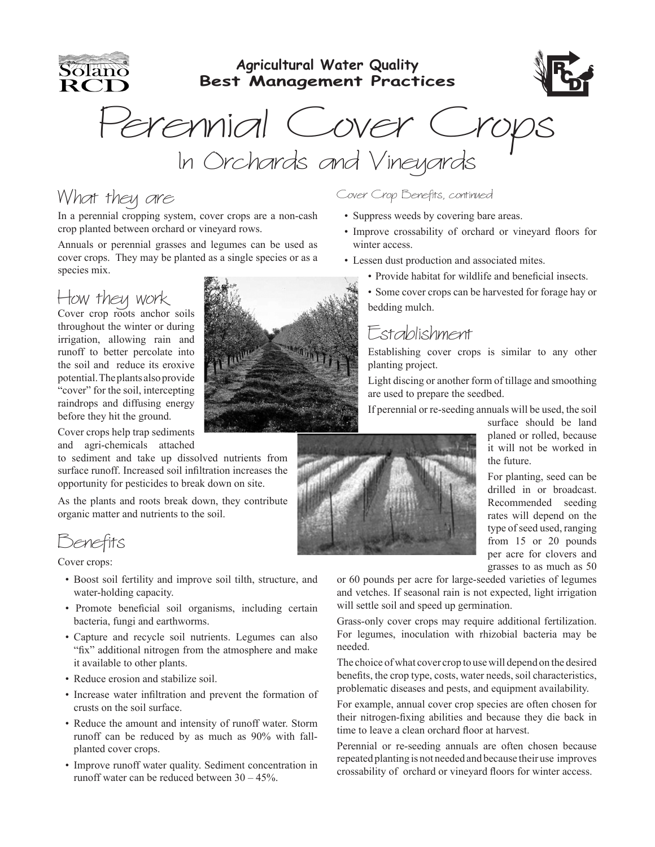**Agricultural Water Quality** Solano **Best Management Practices** RCI Perennial Cover Crops<br>In Orchards and Vineyards

### What they are

In a perennial cropping system, cover crops are a non-cash crop planted between orchard or vineyard rows.

Annuals or perennial grasses and legumes can be used as cover crops. They may be planted as a single species or as a species mix.

# How they work Cover crop roots anchor soils

throughout the winter or during irrigation, allowing rain and runoff to better percolate into the soil and reduce its eroxive potential. The plants also provide "cover" for the soil, intercepting raindrops and diffusing energy before they hit the ground.

Cover crops help trap sediments and agri-chemicals attached

to sediment and take up dissolved nutrients from surface runoff. Increased soil infiltration increases the opportunity for pesticides to break down on site.

As the plants and roots break down, they contribute organic matter and nutrients to the soil.

Benefits

#### Cover crops:

- Boost soil fertility and improve soil tilth, structure, and water-holding capacity.
- Promote beneficial soil organisms, including certain bacteria, fungi and earthworms.
- Capture and recycle soil nutrients. Legumes can also "fix" additional nitrogen from the atmosphere and make it available to other plants.
- Reduce erosion and stabilize soil.
- Increase water infiltration and prevent the formation of crusts on the soil surface.
- Reduce the amount and intensity of runoff water. Storm runoff can be reduced by as much as 90% with fallplanted cover crops.
- Improve runoff water quality. Sediment concentration in runoff water can be reduced between 30 – 45%.

#### Cover Crop Benefits, continued

- Suppress weeds by covering bare areas.
- Improve crossability of orchard or vineyard floors for winter access.
- Lessen dust production and associated mites.
	- Provide habitat for wildlife and beneficial insects.
	- Some cover crops can be harvested for forage hay or bedding mulch.

#### Establishment

Establishing cover crops is similar to any other planting project.

Light discing or another form of tillage and smoothing are used to prepare the seedbed.

If perennial or re-seeding annuals will be used, the soil



surface should be land planed or rolled, because it will not be worked in the future.

For planting, seed can be drilled in or broadcast. Recommended seeding rates will depend on the type of seed used, ranging from 15 or 20 pounds per acre for clovers and grasses to as much as 50

or 60 pounds per acre for large-seeded varieties of legumes and vetches. If seasonal rain is not expected, light irrigation will settle soil and speed up germination.

Grass-only cover crops may require additional fertilization. For legumes, inoculation with rhizobial bacteria may be needed.

The choice of what cover crop to use will depend on the desired benefits, the crop type, costs, water needs, soil characteristics, problematic diseases and pests, and equipment availability.

For example, annual cover crop species are often chosen for their nitrogen-fixing abilities and because they die back in time to leave a clean orchard floor at harvest.

Perennial or re-seeding annuals are often chosen because repeated planting is not needed and because their use improves crossability of orchard or vineyard floors for winter access.